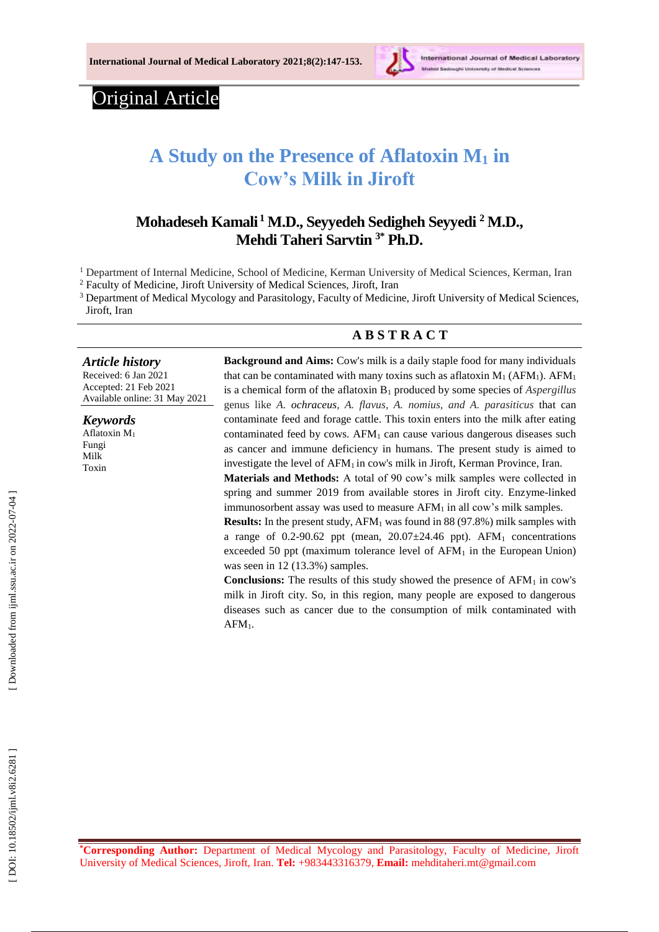

International Journal of Medical Laboratory

# Original Article

# **A Study on the Presence of Aflatoxin M <sup>1</sup> in Cow's Milk in Jiroft**

# **Mohadeseh Kamali <sup>1</sup> M.D., Seyyedeh Sedigheh Seyyedi <sup>2</sup> M.D., Mehdi Taheri Sarvtin 3\* Ph.D.**

<sup>1</sup> Department of Internal Medicine, School of Medicine, Kerman University of Medical Sciences, Kerman, Iran

<sup>2</sup> Faculty of Medicine, Jiroft University of Medical Sciences, Jiroft, Iran

<sup>3</sup> Department of Medical Mycology and Parasitology, Faculty of Medicine, Jiroft University of Medical Sciences, Jiroft, Iran

## **A B S T R A C T**

#### *Article history*

Received: 6 Jan 202 1 Accepted : 2 1 Feb 202 1 Available online : 31 May 20 2 1

*Keywords* Aflatoxin M 1 Fungi Milk Toxin

**Background and Aims:** Cow's milk is a daily staple food for many individuals that can be contaminated with many toxins such as aflatoxin  $M_1$  (AFM<sub>1</sub>). AFM<sub>1</sub> is a chemical form of the aflatoxin B <sup>1</sup> produced by some species of *Aspergillus*  genus like *A. ochraceus, A. flavus, A. nomius, and A. parasiticus* that can contaminate feed and forage cattle. This toxin enters into the milk after eating contaminated feed by cows. AFM <sup>1</sup> can cause various dangerous diseases such as cancer and immune deficiency in humans. The present study is aimed to investigate the level of  $AFM<sub>1</sub>$  in cow's milk in Jiroft, Kerman Province, Iran. **Materials and Methods:** A total of 90 cow's milk samples were collected in

spring and summer 2019 from available stores in Jiroft city. Enzyme-linked immunosorbent assay was used to measure AFM<sub>1</sub> in all cow's milk samples.

**Results:** In the present study, AFM<sub>1</sub> was found in 88 (97.8%) milk samples with a range of  $0.2$ -90.62 ppt (mean,  $20.07 \pm 24.46$  ppt). AFM<sub>1</sub> concentrations exceeded 50 ppt (maximum tolerance level of  $AFM<sub>1</sub>$  in the European Union) was seen in 12 (13.3%) samples.

**Conclusions:** The results of this study showed the presence of AFM <sup>1</sup> in cow's milk in Jiroft city. So, in this region, many people are exposed to dangerous diseases such as cancer due to the consumption of milk contaminated with  $AFM_1$ .

**\*Corresponding Author:** Department of Medical Mycology and Parasitology, Faculty of Medicine, Jiroft University of Medical Sciences, Jiroft, Iran. **Tel:** +983443316379, **Email:** [mehditaheri.mt@gmail.com](mailto:mehditaheri.mt@gmail.com)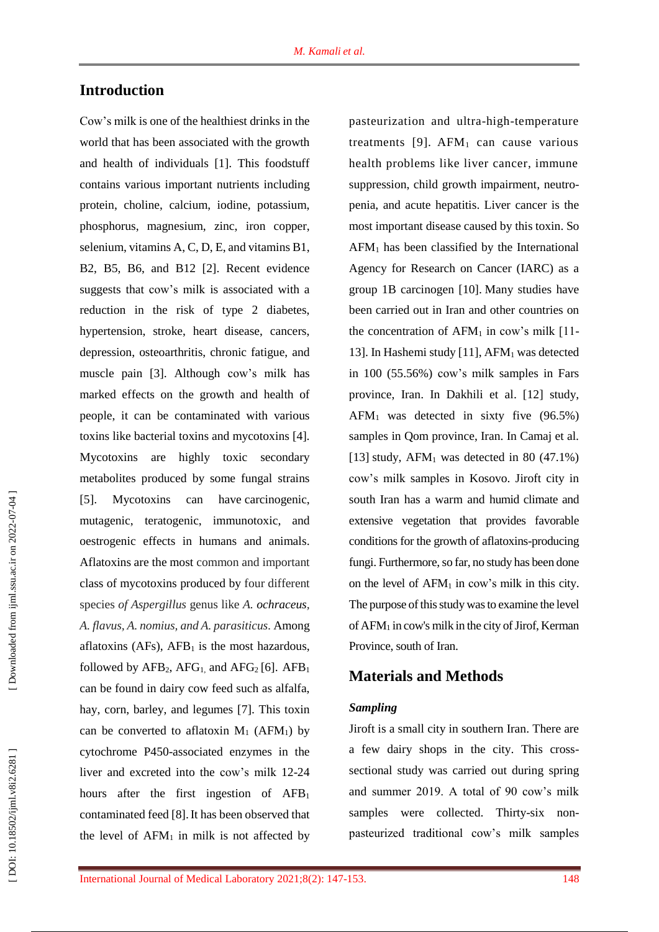# **Introduction**

Cow's milk is one of the healthiest drinks in the world that has been associated with the growth and health of individuals [1]. This foodstuff contains various important nutrients including protein, choline, calcium, iodine, potassium, phosphorus, magnesium, zinc, iron copper, selenium, vitamins A, C, D, E, and vitamins B1, B2, B5, B6, and B12 [2]. Recent evidence suggests that cow's milk is associated with a reduction in the risk of type 2 diabetes, hypertension, stroke, heart disease, cancers, depression, osteoarthritis, chronic fatigue, and muscle pain [3]. Although cow's milk has marked effects on the growth and health of people, it can be contaminated with various toxins like bacterial toxins and mycotoxins [4]. Mycotoxins are highly toxic secondary metabolites produced by some fungal strains [5]. Mycotoxins can have carcinogenic, mutagenic, teratogenic, immunotoxic, and oestrogenic effects in humans and animals . Aflatoxins are the most common and important class of mycotoxins produced by four different species *of Aspergillus* genus like *A . ochraceus, A. flavus, A. nomius, and A. parasiticus.* Among aflatoxins (AFs), AFB <sup>1</sup> is the most hazardous, followed by  $AFB_2$ ,  $AFG_1$ , and  $AFG_2$  [6].  $AFB_1$ can be found in dairy cow feed such as alfalfa, hay, corn, barley, and legumes [7]. This toxin can be converted to aflatoxin  $M_1$  (AFM<sub>1</sub>) by cytochrome P450 -associated enzymes in the liver and excreted into the cow's milk 12 -24 hours after the first ingestion of AFB<sub>1</sub> contaminated feed [8].It has been observed that the level of  $AFM<sub>1</sub>$  in milk is not affected by

pasteurization and ultra -high -temperature treatments [9]. AFM <sup>1</sup> can cause various health problems like liver cancer, immune suppression, child growth impairment, neutro penia, and acute hepatitis. Liver cancer is the most important disease caused by this toxin. So AFM <sup>1</sup> has been classified by the International Agency for Research on Cancer (IARC) as a group 1B carcinogen [10]. Many studies have been carried out in Iran and other countries on the concentration of  $AFM<sub>1</sub>$  in cow's milk [11-13]. In Hashemi study [11], AFM <sup>1</sup> was detected in 100 (55.56%) cow's milk samples in Fars province, Iran. In Dakhili et al. [12] study, AFM <sup>1</sup> was detected in sixty five (96.5%) samples in Qom province, Iran. In Camaj et al. [13] study,  $AFM<sub>1</sub>$  was detected in 80 (47.1%) cow's milk samples in Kosovo. Jiroft city in south Iran has a warm and humid climate and extensive vegetation that provides favorable conditions for the growth of aflatoxins -producing fungi. Furthermore, so far, no study has been done on the level of AFM <sup>1</sup> in cow's milk in this city. The purpose of this study was to examine the level of AFM <sup>1</sup> in cow's milk in the city of Jirof, Kerman Province, south of Iran.

# **Materials and Methods**

#### *Sampling*

Jiroft is a small city in southern Iran. There are a few dairy shops in the city. This cross sectional study was carried out during spring and summer 2019. A total of 90 cow's milk samples were collected. Thirty-six nonpasteurized traditional cow's milk samples

DOI: 10.18502/ijml.v8i2.6281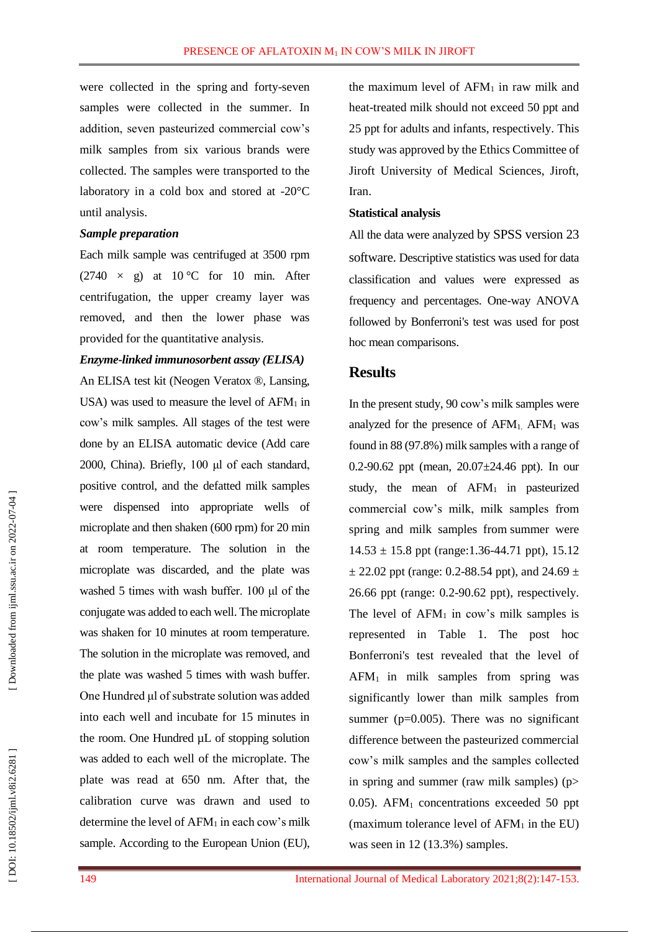were collected in the spring and forty-seven samples were collected in the summer. In addition, seven pasteurized commercial cow's milk samples from six various brands were collected. The samples were transported to the laboratory in a cold box and stored at -20°C until analysis.

#### *Sample preparation*

Each milk sample was centrifuged at 3500 rpm (2740  $\times$  g) at 10 °C for 10 min. After centrifugation, the upper creamy layer was removed, and then the lower phase was provided for the quantitative analysis.

#### *Enzyme -linked immunosorbent assay (ELISA)*

An ELISA test kit (Neogen Veratox ®, Lansing, USA) was used to measure the level of AFM <sup>1</sup> in cow's milk samples. All stages of the test were done by an ELISA automatic device (Add care 2000, China). Briefly, 100 μl of each standard, positive control, and the defatted milk samples were dispensed into appropriate wells of microplate and then shaken (600 rpm) for 20 min at room temperature. The solution in the microplate was discarded, and the plate was washed 5 times with wash buffer. 100 μl of the conjugate was added to each well. The microplate was shaken for 10 minutes at room temperature. The solution in the microplate was removed, and the plate was washed 5 times with wash buffer. One Hundred μl of substrate solution was added into each well and incubate for 15 minutes in the room. One Hundred µL of stopping solution was added to each well of the microplate. The plate was read at 650 nm. After that, the calibration curve was drawn and used to determine the level of AFM <sup>1</sup> in each cow's milk sample. According to the European Union (EU),

the maximum level of AFM <sup>1</sup> in raw milk and heat -treated milk should not exceed 50 ppt and 25 ppt for adults and infants, respectively. This study was approved by the Ethics Committee of Jiroft University of Medical Sciences, Jiroft, Iran.

#### **Statistical analysis**

All the data were analyzed by SPSS version 23 software. Descriptive statistics was used for data classification and values were expressed as frequency and percentages. One -way ANOVA followed by Bonferroni's test was used for post hoc mean comparisons.

### **Results**

In the present study, 90 cow's milk samples were analyzed for the presence of AFM1. AFM <sup>1</sup> was found in 88 (97.8%) milk samples with a range of 0.2-90.62 ppt (mean, 20.07±24.46 ppt). In our study, the mean of AFM <sup>1</sup> in pasteurized commercial cow's milk, milk samples from spring and milk samples from summer were  $14.53 \pm 15.8$  ppt (range: 1.36-44.71 ppt), 15.12  $\pm$  22.02 ppt (range: 0.2-88.54 ppt), and 24.69  $\pm$ 26.66 ppt (range: 0.2 -90.62 ppt), respectively. The level of  $AFM<sub>1</sub>$  in cow's milk samples is represented in Table 1. The post hoc Bonferroni's test revealed that the level of  $AFM<sub>1</sub>$  in milk samples from spring was significantly lower than milk samples from summer ( $p=0.005$ ). There was no significant difference between the pasteurized commercial cow's milk samples and the samples collected in spring and summer (raw milk samples) (p> 0.05). AFM <sup>1</sup> concentrations exceeded 50 ppt (maximum tolerance level of AFM <sup>1</sup> in the EU) was seen in 12 (13.3%) samples.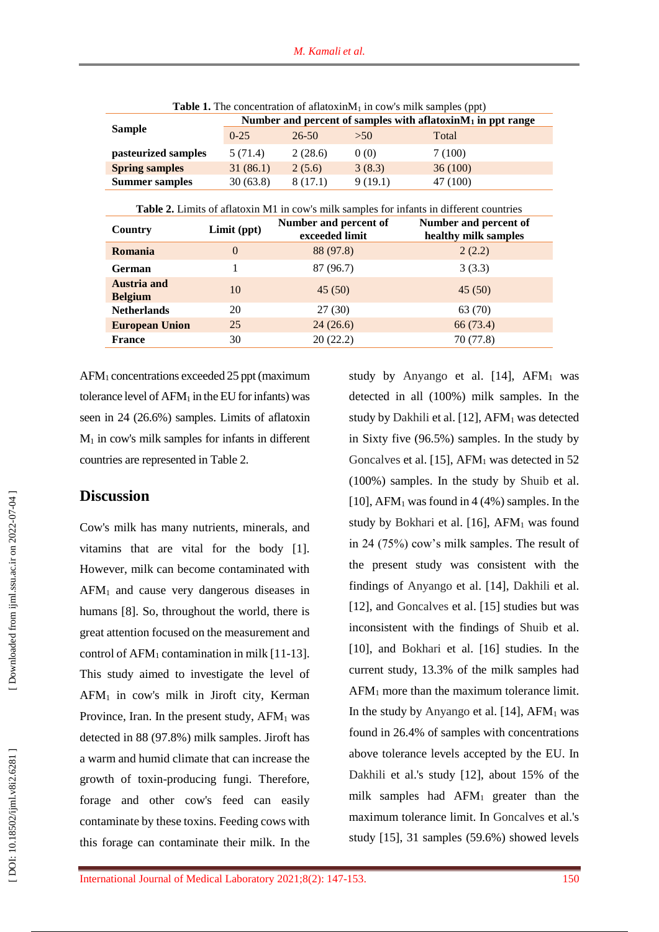| <b>Table 1.</b> The concentration of all atoxinivi <sub>1</sub> in cows milk samples (ppt) |                                                                 |         |         |          |  |
|--------------------------------------------------------------------------------------------|-----------------------------------------------------------------|---------|---------|----------|--|
| <b>Sample</b>                                                                              | Number and percent of samples with aflatoxin $M_1$ in ppt range |         |         |          |  |
|                                                                                            | $0-25$                                                          | 26-50   | >50     | Total    |  |
| pasteurized samples                                                                        | 5 (71.4)                                                        | 2(28.6) | 0(0)    | 7(100)   |  |
| <b>Spring samples</b>                                                                      | 31(86.1)                                                        | 2(5.6)  | 3(8.3)  | 36(100)  |  |
| <b>Summer samples</b>                                                                      | 30(63.8)                                                        | 8(17.1) | 9(19.1) | 47 (100) |  |

**Table 1.** The concentration of aflatoxinM 1 in cow's milk samples (ppt)

**Table 2.** Limits of aflatoxin M1 in cow's milk samples for infants in different countries

| Country                              | Limit (ppt)    | Number and percent of<br>exceeded limit | Number and percent of<br>healthy milk samples |
|--------------------------------------|----------------|-----------------------------------------|-----------------------------------------------|
| <b>Romania</b>                       | $\overline{0}$ | 88 (97.8)                               | 2(2.2)                                        |
| <b>German</b>                        |                | 87 (96.7)                               | 3(3.3)                                        |
| <b>Austria and</b><br><b>Belgium</b> | 10             | 45(50)                                  | 45(50)                                        |
| <b>Netherlands</b>                   | 20             | 27(30)                                  | 63 (70)                                       |
| <b>European Union</b>                | 25             | 24(26.6)                                | 66 (73.4)                                     |
| <b>France</b>                        | 30             | 20(22.2)                                | 70 (77.8)                                     |

AFM <sup>1</sup> concentrations exceeded 25 ppt (maximum tolerance level of AFM <sup>1</sup> in the EU for infants) was seen in 24 (26.6%) samples. Limits of aflatoxin  $M_1$  in cow's milk samples for infants in different countries are represented in Table 2.

## **Discussion**

Cow's milk has many nutrients, minerals, and vitamins that are vital for the body [1]. However, milk can become contaminated with AFM <sup>1</sup> and cause very dangerous diseases in humans [8]. So, throughout the world, there is great attention focused on the measurement and control of AFM <sup>1</sup> contamination in milk [11 -13]. This study aimed to investigate the level of AFM <sup>1</sup> in cow's milk in Jiroft city, Kerman Province, Iran. In the present study, AFM <sup>1</sup> was detected in 88 (97.8%) milk samples. Jiroft has a warm and humid climate that can increase the growth of toxin -producing fungi. Therefore, forage and other cow's feed can easily contaminate by these toxins. Feeding cows with this forage can contaminate their milk. In the

study by Anyango et al. [14], AFM <sup>1</sup> was detected in all (100%) milk samples. In the study by Dakhili et al. [12], AFM <sup>1</sup> was detected in Sixty five (96.5%) samples. In the study by Goncalves et al. [15], AFM <sup>1</sup> was detected in 52 (100%) samples. In the study by Shuib et al. [10], AFM <sup>1</sup> was found in 4 (4%) samples. In the study by Bokhari et al. [16], AFM <sup>1</sup> was found in 24 (75%) cow's milk samples. The result of the present study was consistent with the findings of Anyango et al. [14], Dakhili et al. [12], and Goncalves et al. [15] studies but was inconsistent with the findings of Shuib et al. [10], and Bokhari et al. [16] studies. In the current study, 13.3% of the milk samples had AFM <sup>1</sup> more than the maximum tolerance limit. In the study by Anyango et al. [14], AFM <sup>1</sup> was found in 26.4% of samples with concentrations above tolerance levels accepted by the E U. In Dakhili et al.'s study [12], about 15% of the milk samples had AFM <sup>1</sup> greater than the maximum tolerance limit. In Goncalves et al.'s study [15], 31 samples (59.6%) showed levels

DOI: 10.18502/ijml.v8i2.6281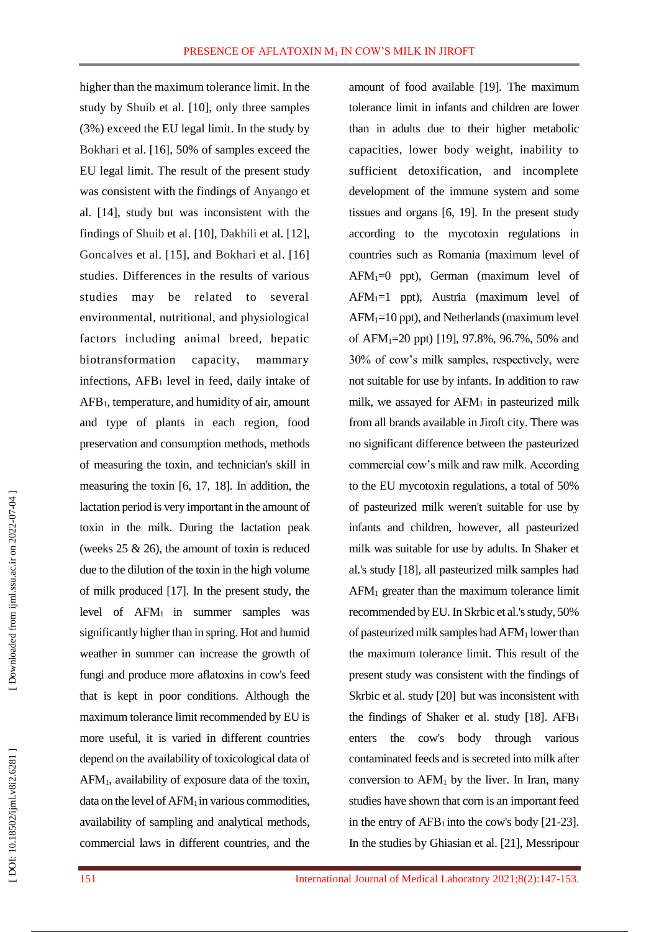higher than the maximum tolerance limit. In the study by Shuib et al. [10], only three samples (3%) exceed the EU legal limit. In the study by Bokhari et al. [16], 50% of samples exceed the EU legal limit. The result of the present study was consistent with the findings of Anyango et al. [14], study but was inconsistent with the findings of Shuib et al. [10], Dakhili et al. [12], Goncalves et al. [15], and Bokhari et al. [16] studies. Differences in the results of various studies may be related to several environmental, nutritional, and physiological factors including animal breed, hepatic biotransformation capacity, mammary infections , AFB <sup>1</sup> level in feed , daily intake of AFB <sup>1</sup>, temperature, and humidity of air, amount and type of plants in each region, food preservation and consumption methods, methods of measuring the toxin, and technician's skill in measuring the toxin [6, 17, 18]. In addition, the lactation period is very important in the amount of toxin in the milk. During the lactation peak (weeks 25 & 26), the amount of toxin is reduced due to the dilution of the toxin in the high volume of milk produced [17]. In the present study, the level of  $AFM<sub>1</sub>$  in summer samples was significantly higher than in spring. Hot and humid weather in summer can increase the growth of fungi and produce more aflatoxins in cow's feed that is kept in poor conditions. Although the maximum tolerance limit recommended by EU is more useful, it is varied in different countries depend on the availability of toxicological data of AFM <sup>1</sup>, availability of exposure data of the toxin, data on the level of  $AFM<sub>1</sub>$  in various commodities, availability of sampling and analytical methods, commercial laws in different countries, and the

amount of food available [19]. The maximum tolerance limit in infants and children are lower than in adults due to their higher metabolic capacities, lower body weight, inability to sufficient detoxification, and incomplete development of the immune system and some tissues and organs [6, 19]. In the present study according to the mycotoxin regulations in countries such as Romania (maximum level of AFM <sup>1</sup>=0 ppt), German (maximum level of AFM <sup>1</sup>=1 ppt), Austria (maximum level of AFM <sup>1</sup>=10 ppt), and Netherlands (maximum level of AFM <sup>1</sup>=20 ppt) [19], 97.8%, 96.7%, 50% and 30% of cow's milk samples, respectively, were not suitable for use by infants. In addition to raw milk, we assayed for AFM <sup>1</sup> in pasteurized milk from all brands available in Jiroft city. There was no significant difference between the pasteurized commercial cow's milk and raw milk. According to the EU mycotoxin regulations, a total of 50% of pasteurized milk weren't suitable for use by infants and children, however, all pasteurized milk was suitable for use by adults. In Shaker et al.'s study [18], all pasteurized milk samples had AFM <sup>1</sup> greater than the maximum tolerance limit recommended by EU. In Skrbic et al.'s study, 50% of pasteurized milk samples had AFM <sup>1</sup> lower than the maximum tolerance limit. This result of the present study was consistent with the findings of Skrbic et al. study [20] but was inconsistent with the findings of Shaker et al. study [18].  $AFB<sub>1</sub>$ enters the cow's body through various contaminated feeds and is secreted into milk after conversion to  $AFM<sub>1</sub>$  by the liver. In Iran, many studies have shown that corn is an important feed in the entry of  $AFB<sub>1</sub>$  into the cow's body [21-23]. In the studies by Ghiasian et al. [21], Messripour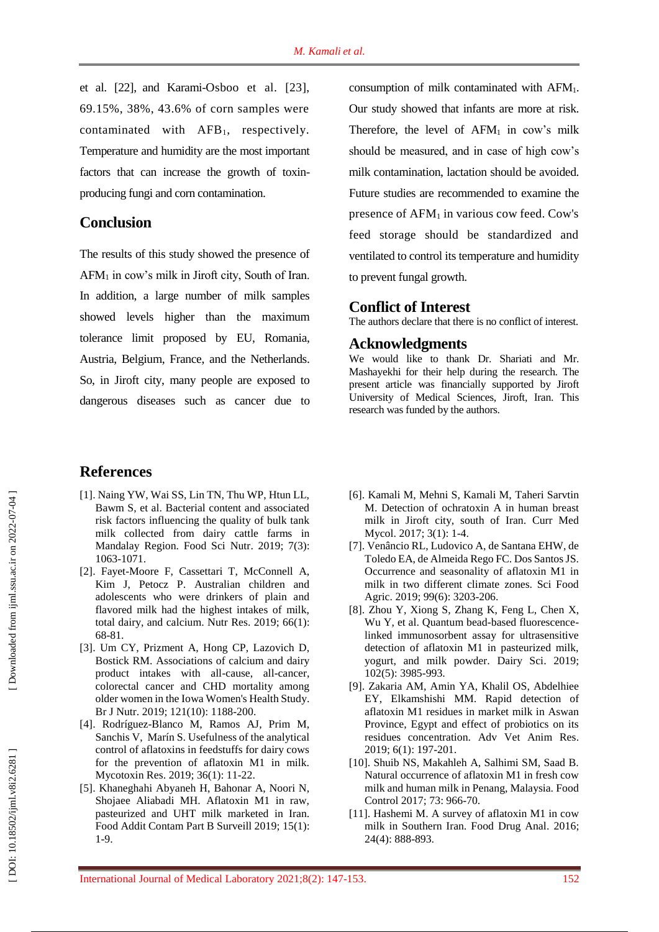et al. [22], and Karami -Osboo et al. [23], 69.15%, 38%, 43.6% of corn samples were contaminated with AFB <sup>1</sup>, respectively. Temperature and humidity are the most important factors that can increase the growth of toxinproducing fungi and corn contamination.

# **Conclusion**

The results of this study showed the presence of AFM <sup>1</sup> in cow's milk in Jiroft city, South of Iran. In addition, a large number of milk samples showed levels higher than the maximum tolerance limit proposed by EU, Romania, Austria, Belgium, France, and the Netherlands. So, in Jiroft city, many people are exposed to dangerous diseases such as cancer due to

# **References**

- [1] . Naing YW, Wai SS, Lin TN, Thu WP, Htun LL, Bawm S, et al. Bacterial content and associated risk factors influencing the quality of bulk tank milk collected from dairy cattle farms in Mandalay Region. Food Sci Nutr. 2019; 7(3): 1063 -1071.
- [2] . Fayet -Moore F, Cassettari T, McConnell A, Kim J, Petocz P. Australian children and adolescents who were drinkers of plain and flavored milk had the highest intakes of milk, total dairy, and calcium. Nutr Res . 2019; 66(1) : 68 -81.
- [3] . Um CY, Prizment A, Hong CP, Lazovich D, Bostick RM. Associations of calcium and dairy product intakes with all -cause, all -cancer, colorectal cancer and CHD mortality among older women in the Iowa Women's Health Study. Br J Nutr. 2019; 121(10): 1188-200.
- [4] . Rodríguez -Blanco M, Ramos AJ, Prim M, Sanchis V, Marín S. Usefulness of the analytical control of aflatoxins in feedstuffs for dairy cows for the prevention of aflatoxin M1 in milk. Mycotoxin Res. 2019; 36(1): 11-22.
- [5] . Khaneghahi Abyaneh H, Bahonar A, Noori N, Shojaee Aliabadi MH. Aflatoxin M1 in raw, pasteurized and UHT milk marketed in Iran. Food Addit Contam Part B Surveill 2019; 15(1) : 1 -9.

consumption of milk contaminated with AFM 1. Our study showed that infants are more at risk. Therefore, the level of AFM <sup>1</sup> in cow's milk should be measured, and in case of high cow's milk contamination, lactation should be avoided. Future studies are recommended to examine the presence of AFM <sup>1</sup> in various cow feed. Cow's feed storage should be standardized and ventilated to control its temperature and humidity to prevent fungal growth.

# **Conflict of Interest**

The authors declare that there is no conflict of interest.

#### **Acknowledgments**

We would like to thank Dr. Shariati and Mr. Mashayekhi for their help during the research. The present article was financially supported by Jiroft University of Medical Sciences, Jiroft, Iran. This research was funded by the authors.

- [6]. Kamali M, Mehni S, Kamali M, Taheri Sarvtin M. Detection of ochratoxin A in human breast milk in Jiroft city, south of Iran. Curr Med Mycol. 2017; 3(1): 1-4.
- [7] . Venâncio RL, Ludovico A, de Santana EHW, de Toledo EA, de Almeida Rego FC. Dos Santos JS. Occurrence and seasonality of aflatoxin M1 in milk in two different climate zones. Sci Food Agric. 2019; 99(6): 3203-206.
- [8] . Zhou Y, Xiong S, Zhang K, Feng L, Chen X, Wu Y, et al. Quantum bead -based fluorescence linked immunosorbent assay for ultrasensitive detection of aflatoxin M1 in pasteurized milk, yogurt, and milk powder. Dairy Sci . 2019; 102(5) : 3985 -993.
- [9] . Zakaria AM, Amin YA, Khalil OS, Abdelhiee EY, Elkamshishi MM. Rapid detection of aflatoxin M1 residues in market milk in Aswan Province, Egypt and effect of probiotics on its residues concentration. Adv Vet Anim Res . 2019; 6(1) : 197 -201.
- [10] . Shuib NS, Makahleh A, Salhimi SM, Saad B. Natural occurrence of aflatoxin M1 in fresh cow milk and human milk in Penang, Malaysia. Food Control 2017; 73: 966-70.
- [11] . Hashemi M. A survey of aflatoxin M1 in cow milk in Southern Iran. Food Drug Anal . 2016; 24(4) : 888 -893.